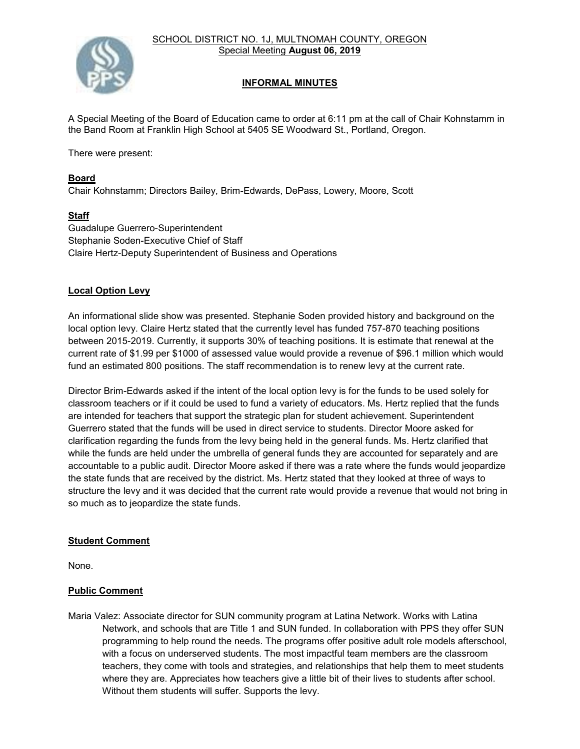SCHOOL DISTRICT NO. 1J, MULTNOMAH COUNTY, OREGON Special Meeting **August 06, 2019**



## **INFORMAL MINUTES**

A Special Meeting of the Board of Education came to order at 6:11 pm at the call of Chair Kohnstamm in the Band Room at Franklin High School at 5405 SE Woodward St., Portland, Oregon.

There were present:

#### **Board**

Chair Kohnstamm; Directors Bailey, Brim-Edwards, DePass, Lowery, Moore, Scott

#### **Staff**

Guadalupe Guerrero-Superintendent Stephanie Soden-Executive Chief of Staff Claire Hertz-Deputy Superintendent of Business and Operations

#### **Local Option Levy**

An informational slide show was presented. Stephanie Soden provided history and background on the local option levy. Claire Hertz stated that the currently level has funded 757-870 teaching positions between 2015-2019. Currently, it supports 30% of teaching positions. It is estimate that renewal at the current rate of \$1.99 per \$1000 of assessed value would provide a revenue of \$96.1 million which would fund an estimated 800 positions. The staff recommendation is to renew levy at the current rate.

Director Brim-Edwards asked if the intent of the local option levy is for the funds to be used solely for classroom teachers or if it could be used to fund a variety of educators. Ms. Hertz replied that the funds are intended for teachers that support the strategic plan for student achievement. Superintendent Guerrero stated that the funds will be used in direct service to students. Director Moore asked for clarification regarding the funds from the levy being held in the general funds. Ms. Hertz clarified that while the funds are held under the umbrella of general funds they are accounted for separately and are accountable to a public audit. Director Moore asked if there was a rate where the funds would jeopardize the state funds that are received by the district. Ms. Hertz stated that they looked at three of ways to structure the levy and it was decided that the current rate would provide a revenue that would not bring in so much as to jeopardize the state funds.

#### **Student Comment**

None.

### **Public Comment**

Maria Valez: Associate director for SUN community program at Latina Network. Works with Latina Network, and schools that are Title 1 and SUN funded. In collaboration with PPS they offer SUN programming to help round the needs. The programs offer positive adult role models afterschool, with a focus on underserved students. The most impactful team members are the classroom teachers, they come with tools and strategies, and relationships that help them to meet students where they are. Appreciates how teachers give a little bit of their lives to students after school. Without them students will suffer. Supports the levy.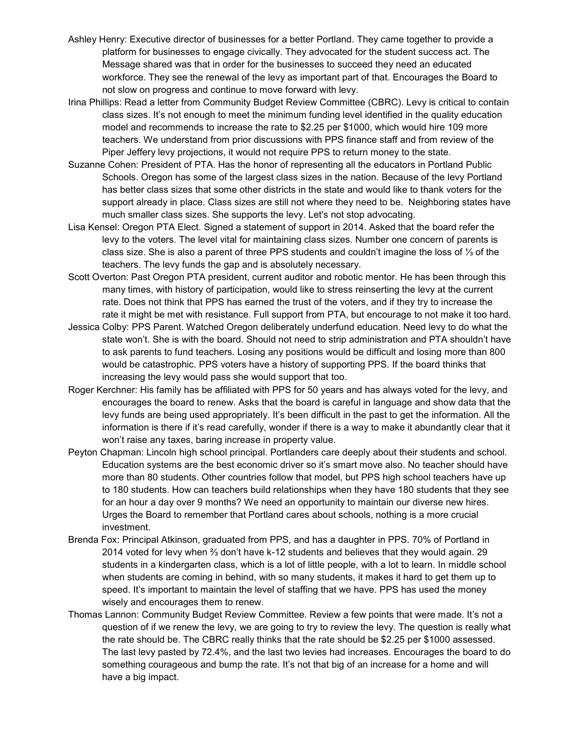- Ashley Henry: Executive director of businesses for a better Portland. They came together to provide a platform for businesses to engage civically. They advocated for the student success act. The Message shared was that in order for the businesses to succeed they need an educated workforce. They see the renewal of the levy as important part of that. Encourages the Board to not slow on progress and continue to move forward with levy.
- Irina Phillips: Read a letter from Community Budget Review Committee (CBRC). Levy is critical to contain class sizes. It's not enough to meet the minimum funding level identified in the quality education model and recommends to increase the rate to \$2.25 per \$1000, which would hire 109 more teachers. We understand from prior discussions with PPS finance staff and from review of the Piper Jeffery levy projections, it would not require PPS to return money to the state.
- Suzanne Cohen: President of PTA. Has the honor of representing all the educators in Portland Public Schools. Oregon has some of the largest class sizes in the nation. Because of the levy Portland has better class sizes that some other districts in the state and would like to thank voters for the support already in place. Class sizes are still not where they need to be. Neighboring states have much smaller class sizes. She supports the levy. Let's not stop advocating.
- Lisa Kensel: Oregon PTA Elect. Signed a statement of support in 2014. Asked that the board refer the levy to the voters. The level vital for maintaining class sizes. Number one concern of parents is class size. She is also a parent of three PPS students and couldn't imagine the loss of ⅓ of the teachers. The levy funds the gap and is absolutely necessary.
- Scott Overton: Past Oregon PTA president, current auditor and robotic mentor. He has been through this many times, with history of participation, would like to stress reinserting the levy at the current rate. Does not think that PPS has earned the trust of the voters, and if they try to increase the rate it might be met with resistance. Full support from PTA, but encourage to not make it too hard.
- Jessica Colby: PPS Parent. Watched Oregon deliberately underfund education. Need levy to do what the state won't. She is with the board. Should not need to strip administration and PTA shouldn't have to ask parents to fund teachers. Losing any positions would be difficult and losing more than 800 would be catastrophic. PPS voters have a history of supporting PPS. If the board thinks that increasing the levy would pass she would support that too.
- Roger Kerchner: His family has be affiliated with PPS for 50 years and has always voted for the levy, and encourages the board to renew. Asks that the board is careful in language and show data that the levy funds are being used appropriately. It's been difficult in the past to get the information. All the information is there if it's read carefully, wonder if there is a way to make it abundantly clear that it won't raise any taxes, baring increase in property value.
- Peyton Chapman: Lincoln high school principal. Portlanders care deeply about their students and school. Education systems are the best economic driver so it's smart move also. No teacher should have more than 80 students. Other countries follow that model, but PPS high school teachers have up to 180 students. How can teachers build relationships when they have 180 students that they see for an hour a day over 9 months? We need an opportunity to maintain our diverse new hires. Urges the Board to remember that Portland cares about schools, nothing is a more crucial investment.
- Brenda Fox: Principal Atkinson, graduated from PPS, and has a daughter in PPS. 70% of Portland in 2014 voted for levy when ⅔ don't have k-12 students and believes that they would again. 29 students in a kindergarten class, which is a lot of little people, with a lot to learn. In middle school when students are coming in behind, with so many students, it makes it hard to get them up to speed. It's important to maintain the level of staffing that we have. PPS has used the money wisely and encourages them to renew.
- Thomas Lannon: Community Budget Review Committee. Review a few points that were made. It's not a question of if we renew the levy, we are going to try to review the levy. The question is really what the rate should be. The CBRC really thinks that the rate should be \$2.25 per \$1000 assessed. The last levy pasted by 72.4%, and the last two levies had increases. Encourages the board to do something courageous and bump the rate. It's not that big of an increase for a home and will have a big impact.